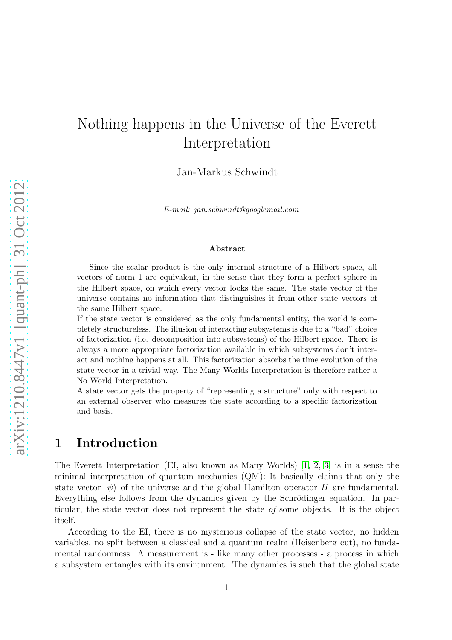# Nothing happens in the Universe of the Everett Interpretation

Jan-Markus Schwindt

*E-mail: jan.schwindt@googlemail.com*

#### Abstract

Since the scalar product is the only internal structure of a Hilbert space, all vectors of norm 1 are equivalent, in the sense that they form a perfect sphere in the Hilbert space, on which every vector looks the same. The state vector of the universe contains no information that distinguishes it from other state vectors of the same Hilbert space.

If the state vector is considered as the only fundamental entity, the world is completely structureless. The illusion of interacting subsystems is due to a "bad" choice of factorization (i.e. decomposition into subsystems) of the Hilbert space. There is always a more appropriate factorization available in which subsystems don't interact and nothing happens at all. This factorization absorbs the time evolution of the state vector in a trivial way. The Many Worlds Interpretation is therefore rather a No World Interpretation.

A state vector gets the property of "representing a structure" only with respect to an external observer who measures the state according to a specific factorization and basis.

# 1 Introduction

The Everett Interpretation (EI, also known as Many Worlds) [\[1,](#page-21-0) [2,](#page-21-1) [3\]](#page-21-2) is in a sense the minimal interpretation of quantum mechanics (QM): It basically claims that only the state vector  $|\psi\rangle$  of the universe and the global Hamilton operator H are fundamental. Everything else follows from the dynamics given by the Schrödinger equation. In particular, the state vector does not represent the state of some objects. It is the object itself.

According to the EI, there is no mysterious collapse of the state vector, no hidden variables, no split between a classical and a quantum realm (Heisenberg cut), no fundamental randomness. A measurement is - like many other processes - a process in which a subsystem entangles with its environment. The dynamics is such that the global state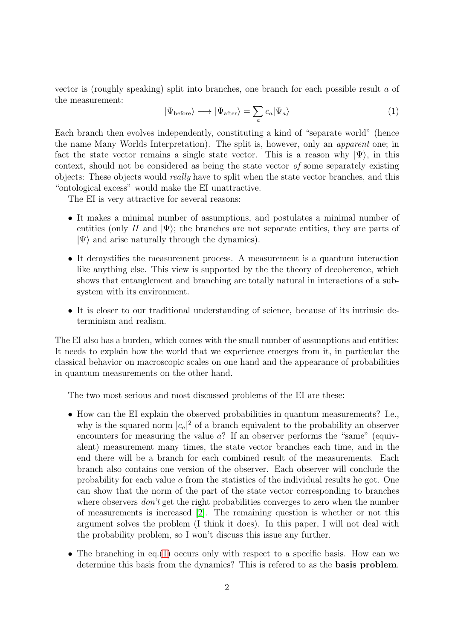vector is (roughly speaking) split into branches, one branch for each possible result a of the measurement:

<span id="page-1-0"></span>
$$
|\Psi_{\text{before}}\rangle \longrightarrow |\Psi_{\text{after}}\rangle = \sum_{a} c_a |\Psi_a\rangle \tag{1}
$$

Each branch then evolves independently, constituting a kind of "separate world" (hence the name Many Worlds Interpretation). The split is, however, only an apparent one; in fact the state vector remains a single state vector. This is a reason why  $|\Psi\rangle$ , in this context, should not be considered as being the state vector of some separately existing objects: These objects would really have to split when the state vector branches, and this "ontological excess" would make the EI unattractive.

The EI is very attractive for several reasons:

- It makes a minimal number of assumptions, and postulates a minimal number of entities (only H and  $|\Psi\rangle$ ; the branches are not separate entities, they are parts of  $|\Psi\rangle$  and arise naturally through the dynamics).
- It demystifies the measurement process. A measurement is a quantum interaction like anything else. This view is supported by the the theory of decoherence, which shows that entanglement and branching are totally natural in interactions of a subsystem with its environment.
- It is closer to our traditional understanding of science, because of its intrinsic determinism and realism.

The EI also has a burden, which comes with the small number of assumptions and entities: It needs to explain how the world that we experience emerges from it, in particular the classical behavior on macroscopic scales on one hand and the appearance of probabilities in quantum measurements on the other hand.

The two most serious and most discussed problems of the EI are these:

- How can the EI explain the observed probabilities in quantum measurements? I.e., why is the squared norm  $|c_a|^2$  of a branch equivalent to the probability an observer encounters for measuring the value  $a$ ? If an observer performs the "same" (equivalent) measurement many times, the state vector branches each time, and in the end there will be a branch for each combined result of the measurements. Each branch also contains one version of the observer. Each observer will conclude the probability for each value a from the statistics of the individual results he got. One can show that the norm of the part of the state vector corresponding to branches where observers *don't* get the right probabilities converges to zero when the number of measurements is increased [\[2\]](#page-21-1). The remaining question is whether or not this argument solves the problem (I think it does). In this paper, I will not deal with the probability problem, so I won't discuss this issue any further.
- The branching in eq.[\(1\)](#page-1-0) occurs only with respect to a specific basis. How can we determine this basis from the dynamics? This is refered to as the basis problem.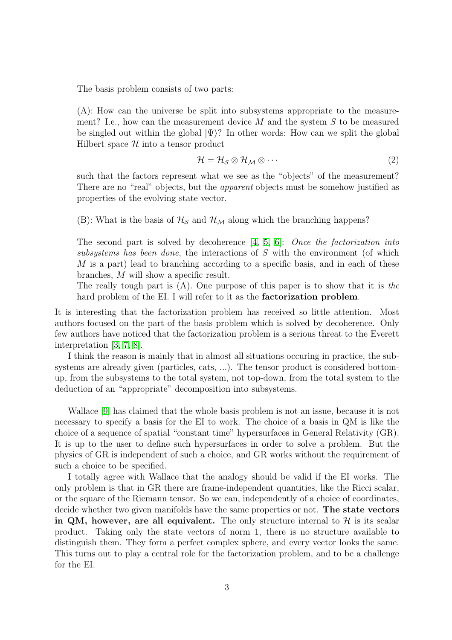The basis problem consists of two parts:

(A): How can the universe be split into subsystems appropriate to the measurement? I.e., how can the measurement device  $M$  and the system  $S$  to be measured be singled out within the global  $|\Psi\rangle$ ? In other words: How can we split the global Hilbert space  $\mathcal H$  into a tensor product

$$
\mathcal{H} = \mathcal{H}_{\mathcal{S}} \otimes \mathcal{H}_{\mathcal{M}} \otimes \cdots \tag{2}
$$

such that the factors represent what we see as the "objects" of the measurement? There are no "real" objects, but the *apparent* objects must be somehow justified as properties of the evolving state vector.

(B): What is the basis of  $\mathcal{H}_{\mathcal{S}}$  and  $\mathcal{H}_{\mathcal{M}}$  along which the branching happens?

The second part is solved by decoherence [\[4,](#page-21-3) [5,](#page-21-4) [6\]](#page-21-5): Once the factorization into subsystems has been done, the interactions of S with the environment (of which M is a part) lead to branching according to a specific basis, and in each of these branches, M will show a specific result.

The really tough part is  $(A)$ . One purpose of this paper is to show that it is the hard problem of the EI. I will refer to it as the **factorization problem**.

It is interesting that the factorization problem has received so little attention. Most authors focused on the part of the basis problem which is solved by decoherence. Only few authors have noticed that the factorization problem is a serious threat to the Everett interpretation [\[3,](#page-21-2) [7,](#page-21-6) [8\]](#page-21-7).

I think the reason is mainly that in almost all situations occuring in practice, the subsystems are already given (particles, cats, ...). The tensor product is considered bottomup, from the subsystems to the total system, not top-down, from the total system to the deduction of an "appropriate" decomposition into subsystems.

Wallace [\[9\]](#page-21-8) has claimed that the whole basis problem is not an issue, because it is not necessary to specify a basis for the EI to work. The choice of a basis in QM is like the choice of a sequence of spatial "constant time" hypersurfaces in General Relativity (GR). It is up to the user to define such hypersurfaces in order to solve a problem. But the physics of GR is independent of such a choice, and GR works without the requirement of such a choice to be specified.

I totally agree with Wallace that the analogy should be valid if the EI works. The only problem is that in GR there are frame-independent quantities, like the Ricci scalar, or the square of the Riemann tensor. So we can, independently of a choice of coordinates, decide whether two given manifolds have the same properties or not. The state vectors in QM, however, are all equivalent. The only structure internal to  $\mathcal{H}$  is its scalar product. Taking only the state vectors of norm 1, there is no structure available to distinguish them. They form a perfect complex sphere, and every vector looks the same. This turns out to play a central role for the factorization problem, and to be a challenge for the EI.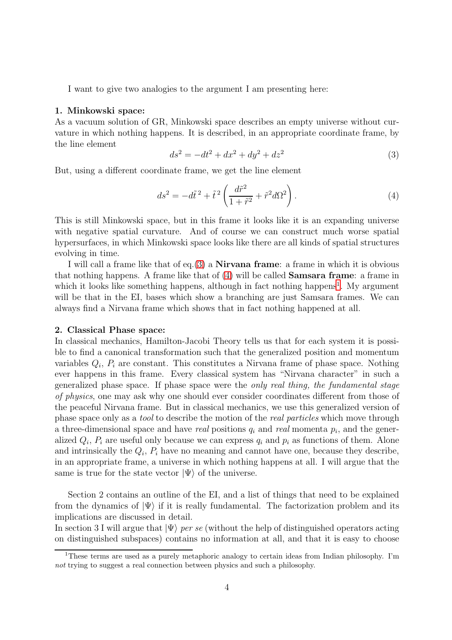I want to give two analogies to the argument I am presenting here:

### 1. Minkowski space:

As a vacuum solution of GR, Minkowski space describes an empty universe without curvature in which nothing happens. It is described, in an appropriate coordinate frame, by the line element

<span id="page-3-0"></span>
$$
ds^2 = -dt^2 + dx^2 + dy^2 + dz^2
$$
 (3)

But, using a different coordinate frame, we get the line element

<span id="page-3-1"></span>
$$
ds^2 = -d\tilde{t}^2 + \tilde{t}^2 \left(\frac{d\tilde{r}^2}{1 + \tilde{r}^2} + \tilde{r}^2 d\Omega^2\right).
$$
 (4)

This is still Minkowski space, but in this frame it looks like it is an expanding universe with negative spatial curvature. And of course we can construct much worse spatial hypersurfaces, in which Minkowski space looks like there are all kinds of spatial structures evolving in time.

I will call a frame like that of eq.[\(3\)](#page-3-0) a **Nirvana frame**: a frame in which it is obvious that nothing happens. A frame like that of  $(4)$  will be called **Samsara frame**: a frame in which it looks like something happens, although in fact nothing happens<sup>[1](#page-3-2)</sup>. My argument will be that in the EI, bases which show a branching are just Samsara frames. We can always find a Nirvana frame which shows that in fact nothing happened at all.

#### 2. Classical Phase space:

In classical mechanics, Hamilton-Jacobi Theory tells us that for each system it is possible to find a canonical transformation such that the generalized position and momentum variables  $Q_i$ ,  $P_i$  are constant. This constitutes a Nirvana frame of phase space. Nothing ever happens in this frame. Every classical system has "Nirvana character" in such a generalized phase space. If phase space were the only real thing, the fundamental stage of physics, one may ask why one should ever consider coordinates different from those of the peaceful Nirvana frame. But in classical mechanics, we use this generalized version of phase space only as a tool to describe the motion of the real particles which move through a three-dimensional space and have *real* positions  $q_i$  and *real* momenta  $p_i$ , and the generalized  $Q_i$ ,  $P_i$  are useful only because we can express  $q_i$  and  $p_i$  as functions of them. Alone and intrinsically the  $Q_i$ ,  $P_i$  have no meaning and cannot have one, because they describe, in an appropriate frame, a universe in which nothing happens at all. I will argue that the same is true for the state vector  $|\Psi\rangle$  of the universe.

Section 2 contains an outline of the EI, and a list of things that need to be explained from the dynamics of  $|\Psi\rangle$  if it is really fundamental. The factorization problem and its implications are discussed in detail.

In section 3 I will argue that  $|\Psi\rangle$  per se (without the help of distinguished operators acting on distinguished subspaces) contains no information at all, and that it is easy to choose

<span id="page-3-2"></span><sup>1</sup>These terms are used as a purely metaphoric analogy to certain ideas from Indian philosophy. I'm *not* trying to suggest a real connection between physics and such a philosophy.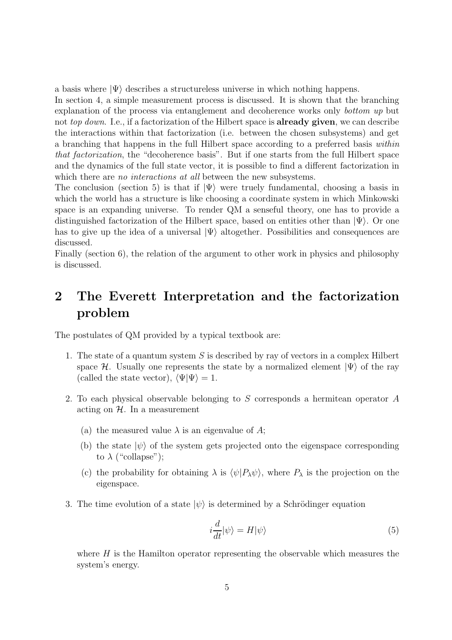a basis where  $|\Psi\rangle$  describes a structureless universe in which nothing happens.

In section 4, a simple measurement process is discussed. It is shown that the branching explanation of the process via entanglement and decoherence works only bottom up but not top down. I.e., if a factorization of the Hilbert space is **already given**, we can describe the interactions within that factorization (i.e. between the chosen subsystems) and get a branching that happens in the full Hilbert space according to a preferred basis within that factorization, the "decoherence basis". But if one starts from the full Hilbert space and the dynamics of the full state vector, it is possible to find a different factorization in which there are *no interactions at all* between the new subsystems.

The conclusion (section 5) is that if  $|\Psi\rangle$  were truely fundamental, choosing a basis in which the world has a structure is like choosing a coordinate system in which Minkowski space is an expanding universe. To render QM a senseful theory, one has to provide a distinguished factorization of the Hilbert space, based on entities other than  $|\Psi\rangle$ . Or one has to give up the idea of a universal  $|\Psi\rangle$  altogether. Possibilities and consequences are discussed.

Finally (section 6), the relation of the argument to other work in physics and philosophy is discussed.

# 2 The Everett Interpretation and the factorization problem

The postulates of QM provided by a typical textbook are:

- 1. The state of a quantum system  $S$  is described by ray of vectors in a complex Hilbert space H. Usually one represents the state by a normalized element  $|\Psi\rangle$  of the ray (called the state vector),  $\langle \Psi | \Psi \rangle = 1$ .
- 2. To each physical observable belonging to S corresponds a hermitean operator A acting on  $H$ . In a measurement
	- (a) the measured value  $\lambda$  is an eigenvalue of A;
	- (b) the state  $|\psi\rangle$  of the system gets projected onto the eigenspace corresponding to  $\lambda$  ("collapse");
	- (c) the probability for obtaining  $\lambda$  is  $\langle \psi | P_{\lambda} \psi \rangle$ , where  $P_{\lambda}$  is the projection on the eigenspace.
- 3. The time evolution of a state  $|\psi\rangle$  is determined by a Schrödinger equation

$$
i\frac{d}{dt}|\psi\rangle = H|\psi\rangle\tag{5}
$$

where  $H$  is the Hamilton operator representing the observable which measures the system's energy.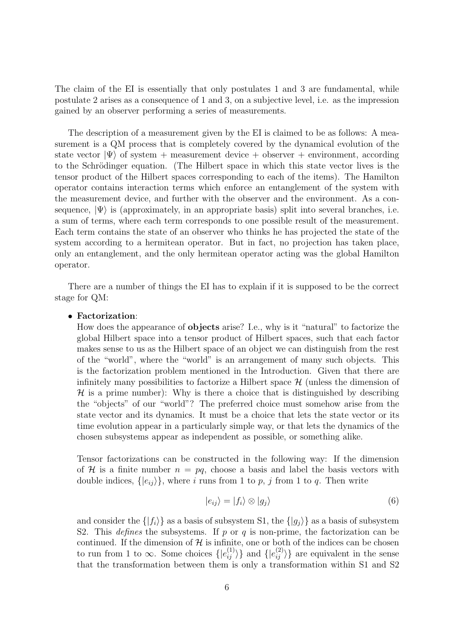The claim of the EI is essentially that only postulates 1 and 3 are fundamental, while postulate 2 arises as a consequence of 1 and 3, on a subjective level, i.e. as the impression gained by an observer performing a series of measurements.

The description of a measurement given by the EI is claimed to be as follows: A measurement is a QM process that is completely covered by the dynamical evolution of the state vector  $|\Psi\rangle$  of system + measurement device + observer + environment, according to the Schrödinger equation. (The Hilbert space in which this state vector lives is the tensor product of the Hilbert spaces corresponding to each of the items). The Hamilton operator contains interaction terms which enforce an entanglement of the system with the measurement device, and further with the observer and the environment. As a consequence,  $|\Psi\rangle$  is (approximately, in an appropriate basis) split into several branches, i.e. a sum of terms, where each term corresponds to one possible result of the measurement. Each term contains the state of an observer who thinks he has projected the state of the system according to a hermitean operator. But in fact, no projection has taken place, only an entanglement, and the only hermitean operator acting was the global Hamilton operator.

There are a number of things the EI has to explain if it is supposed to be the correct stage for QM:

### • Factorization:

How does the appearance of objects arise? I.e., why is it "natural" to factorize the global Hilbert space into a tensor product of Hilbert spaces, such that each factor makes sense to us as the Hilbert space of an object we can distinguish from the rest of the "world", where the "world" is an arrangement of many such objects. This is the factorization problem mentioned in the Introduction. Given that there are infinitely many possibilities to factorize a Hilbert space  $\mathcal{H}$  (unless the dimension of  $H$  is a prime number): Why is there a choice that is distinguished by describing the "objects" of our "world"? The preferred choice must somehow arise from the state vector and its dynamics. It must be a choice that lets the state vector or its time evolution appear in a particularly simple way, or that lets the dynamics of the chosen subsystems appear as independent as possible, or something alike.

Tensor factorizations can be constructed in the following way: If the dimension of H is a finite number  $n = pq$ , choose a basis and label the basis vectors with double indices,  $\{|e_{ij}\rangle\}$ , where i runs from 1 to p, j from 1 to q. Then write

$$
|e_{ij}\rangle = |f_i\rangle \otimes |g_j\rangle \tag{6}
$$

and consider the  $\{|f_i\rangle\}$  as a basis of subsystem S1, the  $\{|g_i\rangle\}$  as a basis of subsystem S2. This *defines* the subsystems. If p or q is non-prime, the factorization can be continued. If the dimension of  $H$  is infinite, one or both of the indices can be chosen to run from 1 to  $\infty$ . Some choices  $\{|e_{ij}^{(1)}\rangle\}$  and  $\{|e_{ij}^{(2)}\rangle\}$  are equivalent in the sense that the transformation between them is only a transformation within S1 and S2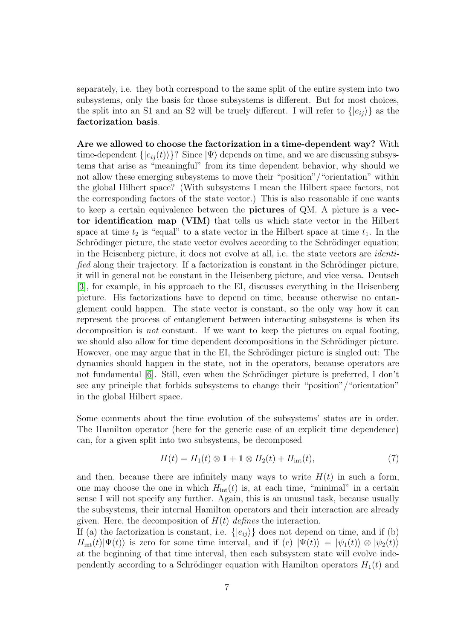separately, i.e. they both correspond to the same split of the entire system into two subsystems, only the basis for those subsystems is different. But for most choices, the split into an S1 and an S2 will be truely different. I will refer to  $\{|e_{ij}\rangle\}$  as the factorization basis.

Are we allowed to choose the factorization in a time-dependent way? With time-dependent  $\{|e_{ij}(t)\rangle\}$ ? Since  $|\Psi\rangle$  depends on time, and we are discussing subsystems that arise as "meaningful" from its time dependent behavior, why should we not allow these emerging subsystems to move their "position"/"orientation" within the global Hilbert space? (With subsystems I mean the Hilbert space factors, not the corresponding factors of the state vector.) This is also reasonable if one wants to keep a certain equivalence between the pictures of QM. A picture is a vector identification map (VIM) that tells us which state vector in the Hilbert space at time  $t_2$  is "equal" to a state vector in the Hilbert space at time  $t_1$ . In the Schrödinger picture, the state vector evolves according to the Schrödinger equation; in the Heisenberg picture, it does not evolve at all, i.e. the state vectors are identified along their trajectory. If a factorization is constant in the Schrödinger picture, it will in general not be constant in the Heisenberg picture, and vice versa. Deutsch [\[3\]](#page-21-2), for example, in his approach to the EI, discusses everything in the Heisenberg picture. His factorizations have to depend on time, because otherwise no entanglement could happen. The state vector is constant, so the only way how it can represent the process of entanglement between interacting subsystems is when its decomposition is not constant. If we want to keep the pictures on equal footing, we should also allow for time dependent decompositions in the Schrödinger picture. However, one may argue that in the EI, the Schrödinger picture is singled out: The dynamics should happen in the state, not in the operators, because operators are not fundamental  $[6]$ . Still, even when the Schrödinger picture is preferred, I don't see any principle that forbids subsystems to change their "position"/"orientation" in the global Hilbert space.

Some comments about the time evolution of the subsystems' states are in order. The Hamilton operator (here for the generic case of an explicit time dependence) can, for a given split into two subsystems, be decomposed

<span id="page-6-0"></span>
$$
H(t) = H_1(t) \otimes \mathbf{1} + \mathbf{1} \otimes H_2(t) + H_{\text{int}}(t), \tag{7}
$$

and then, because there are infinitely many ways to write  $H(t)$  in such a form, one may choose the one in which  $H_{int}(t)$  is, at each time, "minimal" in a certain sense I will not specify any further. Again, this is an unusual task, because usually the subsystems, their internal Hamilton operators and their interaction are already given. Here, the decomposition of  $H(t)$  defines the interaction.

If (a) the factorization is constant, i.e.  $\{|e_{ij}\rangle\}$  does not depend on time, and if (b)  $H_{\text{int}}(t)|\Psi(t)\rangle$  is zero for some time interval, and if (c)  $|\Psi(t)\rangle = |\psi_1(t)\rangle \otimes |\psi_2(t)\rangle$ at the beginning of that time interval, then each subsystem state will evolve independently according to a Schrödinger equation with Hamilton operators  $H_1(t)$  and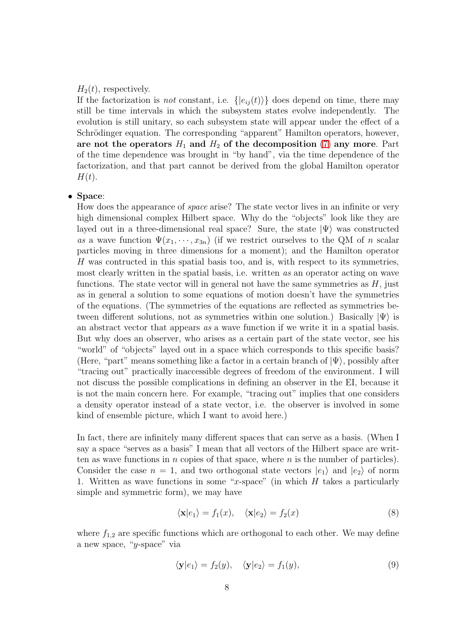### $H_2(t)$ , respectively.

If the factorization is *not* constant, i.e.  $\{ |e_{ij}(t)\rangle \}$  does depend on time, there may still be time intervals in which the subsystem states evolve independently. The evolution is still unitary, so each subsystem state will appear under the effect of a Schrödinger equation. The corresponding "apparent" Hamilton operators, however, are not the operators  $H_1$  and  $H_2$  of the decomposition [\(7\)](#page-6-0) any more. Part of the time dependence was brought in "by hand", via the time dependence of the factorization, and that part cannot be derived from the global Hamilton operator  $H(t)$ .

### • Space:

How does the appearance of space arise? The state vector lives in an infinite or very high dimensional complex Hilbert space. Why do the "objects" look like they are layed out in a three-dimensional real space? Sure, the state  $|\Psi\rangle$  was constructed as a wave function  $\Psi(x_1,\dots,x_{3n})$  (if we restrict ourselves to the QM of n scalar particles moving in three dimensions for a moment); and the Hamilton operator H was contructed in this spatial basis too, and is, with respect to its symmetries, most clearly written in the spatial basis, i.e. written as an operator acting on wave functions. The state vector will in general not have the same symmetries as  $H$ , just as in general a solution to some equations of motion doesn't have the symmetries of the equations. (The symmetries of the equations are reflected as symmetries between different solutions, not as symmetries within one solution.) Basically  $|\Psi\rangle$  is an abstract vector that appears as a wave function if we write it in a spatial basis. But why does an observer, who arises as a certain part of the state vector, see his "world" of "objects" layed out in a space which corresponds to this specific basis? (Here, "part" means something like a factor in a certain branch of  $|\Psi\rangle$ , possibly after "tracing out" practically inaccessible degrees of freedom of the environment. I will not discuss the possible complications in defining an observer in the EI, because it is not the main concern here. For example, "tracing out" implies that one considers a density operator instead of a state vector, i.e. the observer is involved in some kind of ensemble picture, which I want to avoid here.)

In fact, there are infinitely many different spaces that can serve as a basis. (When I say a space "serves as a basis" I mean that all vectors of the Hilbert space are written as wave functions in  $n$  copies of that space, where  $n$  is the number of particles). Consider the case  $n = 1$ , and two orthogonal state vectors  $|e_1\rangle$  and  $|e_2\rangle$  of norm 1. Written as wave functions in some "x-space" (in which  $H$  takes a particularly simple and symmetric form), we may have

$$
\langle \mathbf{x}|e_1 \rangle = f_1(x), \quad \langle \mathbf{x}|e_2 \rangle = f_2(x) \tag{8}
$$

where  $f_{1,2}$  are specific functions which are orthogonal to each other. We may define a new space, "y-space" via

<span id="page-7-0"></span>
$$
\langle \mathbf{y} | e_1 \rangle = f_2(y), \quad \langle \mathbf{y} | e_2 \rangle = f_1(y), \tag{9}
$$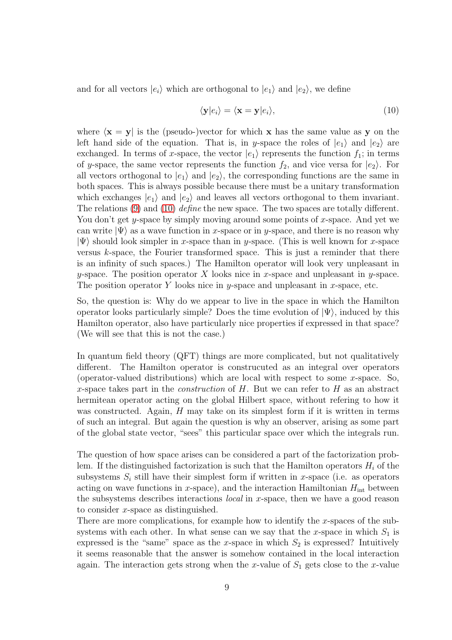and for all vectors  $|e_i\rangle$  which are orthogonal to  $|e_1\rangle$  and  $|e_2\rangle$ , we define

<span id="page-8-0"></span>
$$
\langle \mathbf{y} | e_i \rangle = \langle \mathbf{x} = \mathbf{y} | e_i \rangle, \tag{10}
$$

where  $\langle x = y |$  is the (pseudo-)vector for which x has the same value as y on the left hand side of the equation. That is, in y-space the roles of  $|e_1\rangle$  and  $|e_2\rangle$  are exchanged. In terms of x-space, the vector  $|e_1\rangle$  represents the function  $f_1$ ; in terms of y-space, the same vector represents the function  $f_2$ , and vice versa for  $|e_2\rangle$ . For all vectors orthogonal to  $|e_1\rangle$  and  $|e_2\rangle$ , the corresponding functions are the same in both spaces. This is always possible because there must be a unitary transformation which exchanges  $|e_1\rangle$  and  $|e_2\rangle$  and leaves all vectors orthogonal to them invariant. The relations  $(9)$  and  $(10)$  define the new space. The two spaces are totally different. You don't get y-space by simply moving around some points of x-space. And yet we can write  $|\Psi\rangle$  as a wave function in x-space or in y-space, and there is no reason why  $|\Psi\rangle$  should look simpler in x-space than in y-space. (This is well known for x-space versus k-space, the Fourier transformed space. This is just a reminder that there is an infinity of such spaces.) The Hamilton operator will look very unpleasant in y-space. The position operator X looks nice in x-space and unpleasant in y-space. The position operator Y looks nice in y-space and unpleasant in x-space, etc.

So, the question is: Why do we appear to live in the space in which the Hamilton operator looks particularly simple? Does the time evolution of  $|\Psi\rangle$ , induced by this Hamilton operator, also have particularly nice properties if expressed in that space? (We will see that this is not the case.)

In quantum field theory (QFT) things are more complicated, but not qualitatively different. The Hamilton operator is construcuted as an integral over operators (operator-valued distributions) which are local with respect to some  $x$ -space. So, x-space takes part in the *construction* of  $H$ . But we can refer to  $H$  as an abstract hermitean operator acting on the global Hilbert space, without refering to how it was constructed. Again,  $H$  may take on its simplest form if it is written in terms of such an integral. But again the question is why an observer, arising as some part of the global state vector, "sees" this particular space over which the integrals run.

The question of how space arises can be considered a part of the factorization problem. If the distinguished factorization is such that the Hamilton operators  $H_i$  of the subsystems  $S_i$  still have their simplest form if written in x-space (i.e. as operators acting on wave functions in x-space), and the interaction Hamiltonian  $H_{\text{int}}$  between the subsystems describes interactions *local* in x-space, then we have a good reason to consider x-space as distinguished.

There are more complications, for example how to identify the x-spaces of the subsystems with each other. In what sense can we say that the x-space in which  $S_1$  is expressed is the "same" space as the x-space in which  $S_2$  is expressed? Intuitively it seems reasonable that the answer is somehow contained in the local interaction again. The interaction gets strong when the x-value of  $S_1$  gets close to the x-value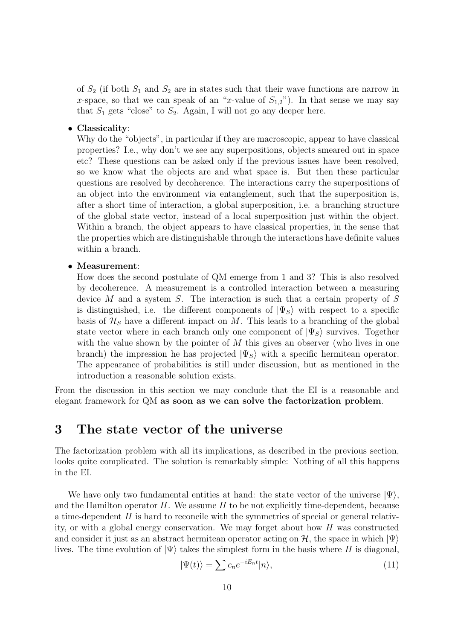of  $S_2$  (if both  $S_1$  and  $S_2$  are in states such that their wave functions are narrow in x-space, so that we can speak of an "x-value of  $S_{1,2}$ "). In that sense we may say that  $S_1$  gets "close" to  $S_2$ . Again, I will not go any deeper here.

### • Classicality:

Why do the "objects", in particular if they are macroscopic, appear to have classical properties? I.e., why don't we see any superpositions, objects smeared out in space etc? These questions can be asked only if the previous issues have been resolved, so we know what the objects are and what space is. But then these particular questions are resolved by decoherence. The interactions carry the superpositions of an object into the environment via entanglement, such that the superposition is, after a short time of interaction, a global superposition, i.e. a branching structure of the global state vector, instead of a local superposition just within the object. Within a branch, the object appears to have classical properties, in the sense that the properties which are distinguishable through the interactions have definite values within a branch.

### • Measurement:

How does the second postulate of QM emerge from 1 and 3? This is also resolved by decoherence. A measurement is a controlled interaction between a measuring device  $M$  and a system  $S$ . The interaction is such that a certain property of  $S$ is distinguished, i.e. the different components of  $|\Psi_S\rangle$  with respect to a specific basis of  $\mathcal{H}_S$  have a different impact on M. This leads to a branching of the global state vector where in each branch only one component of  $|\Psi_{S}\rangle$  survives. Together with the value shown by the pointer of  $M$  this gives an observer (who lives in one branch) the impression he has projected  $|\Psi_S\rangle$  with a specific hermitean operator. The appearance of probabilities is still under discussion, but as mentioned in the introduction a reasonable solution exists.

From the discussion in this section we may conclude that the EI is a reasonable and elegant framework for QM as soon as we can solve the factorization problem.

### 3 The state vector of the universe

The factorization problem with all its implications, as described in the previous section, looks quite complicated. The solution is remarkably simple: Nothing of all this happens in the EI.

We have only two fundamental entities at hand: the state vector of the universe  $|\Psi\rangle$ , and the Hamilton operator  $H$ . We assume  $H$  to be not explicitly time-dependent, because a time-dependent  $H$  is hard to reconcile with the symmetries of special or general relativity, or with a global energy conservation. We may forget about how H was constructed and consider it just as an abstract hermitean operator acting on  $H$ , the space in which  $|\Psi\rangle$ lives. The time evolution of  $|\Psi\rangle$  takes the simplest form in the basis where H is diagonal,

<span id="page-9-0"></span>
$$
|\Psi(t)\rangle = \sum c_n e^{-iE_n t} |n\rangle,\tag{11}
$$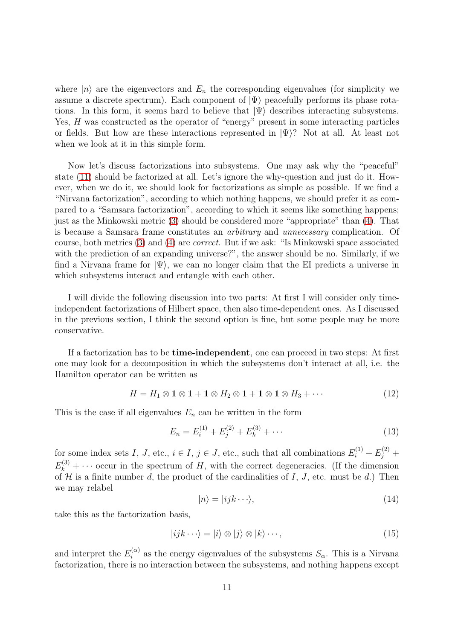where  $|n\rangle$  are the eigenvectors and  $E_n$  the corresponding eigenvalues (for simplicity we assume a discrete spectrum). Each component of  $|\Psi\rangle$  peacefully performs its phase rotations. In this form, it seems hard to believe that  $|\Psi\rangle$  describes interacting subsystems. Yes, H was constructed as the operator of "energy" present in some interacting particles or fields. But how are these interactions represented in  $|\Psi\rangle$ ? Not at all. At least not when we look at it in this simple form.

Now let's discuss factorizations into subsystems. One may ask why the "peaceful" state [\(11\)](#page-9-0) should be factorized at all. Let's ignore the why-question and just do it. However, when we do it, we should look for factorizations as simple as possible. If we find a "Nirvana factorization", according to which nothing happens, we should prefer it as compared to a "Samsara factorization", according to which it seems like something happens; just as the Minkowski metric [\(3\)](#page-3-0) should be considered more "appropriate" than [\(4\)](#page-3-1). That is because a Samsara frame constitutes an arbitrary and unnecessary complication. Of course, both metrics [\(3\)](#page-3-0) and [\(4\)](#page-3-1) are correct. But if we ask: "Is Minkowski space associated with the prediction of an expanding universe?", the answer should be no. Similarly, if we find a Nirvana frame for  $|\Psi\rangle$ , we can no longer claim that the EI predicts a universe in which subsystems interact and entangle with each other.

I will divide the following discussion into two parts: At first I will consider only timeindependent factorizations of Hilbert space, then also time-dependent ones. As I discussed in the previous section, I think the second option is fine, but some people may be more conservative.

If a factorization has to be time-independent, one can proceed in two steps: At first one may look for a decomposition in which the subsystems don't interact at all, i.e. the Hamilton operator can be written as

$$
H = H_1 \otimes \mathbf{1} \otimes \mathbf{1} + \mathbf{1} \otimes H_2 \otimes \mathbf{1} + \mathbf{1} \otimes \mathbf{1} \otimes H_3 + \cdots
$$
 (12)

This is the case if all eigenvalues  $E_n$  can be written in the form

$$
E_n = E_i^{(1)} + E_j^{(2)} + E_k^{(3)} + \cdots
$$
\n(13)

for some index sets I, J, etc.,  $i \in I$ ,  $j \in J$ , etc., such that all combinations  $E_i^{(1)} + E_j^{(2)} +$  $E_k^{(3)} + \cdots$  occur in the spectrum of H, with the correct degeneracies. (If the dimension of  $H$  is a finite number d, the product of the cardinalities of  $I, J$ , etc. must be d.) Then we may relabel

<span id="page-10-0"></span>
$$
|n\rangle = |ijk\cdots\rangle,\tag{14}
$$

take this as the factorization basis,

<span id="page-10-1"></span>
$$
|ijk\cdots\rangle = |i\rangle \otimes |j\rangle \otimes |k\rangle \cdots,
$$
\n(15)

and interpret the  $E_i^{(\alpha)}$  as the energy eigenvalues of the subsystems  $S_{\alpha}$ . This is a Nirvana factorization, there is no interaction between the subsystems, and nothing happens except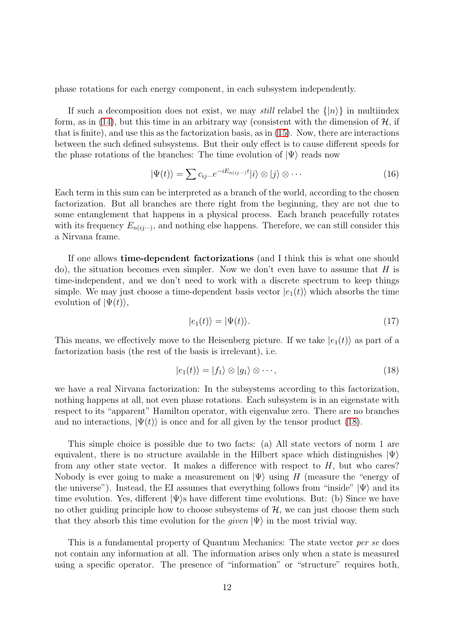phase rotations for each energy component, in each subsystem independently.

If such a decomposition does not exist, we may *still* relabel the  $\{|n\rangle\}$  in multiindex form, as in [\(14\)](#page-10-0), but this time in an arbitrary way (consistent with the dimension of  $H$ , if that is finite), and use this as the factorization basis, as in [\(15\)](#page-10-1). Now, there are interactions between the such defined subsystems. But their only effect is to cause different speeds for the phase rotations of the branches: The time evolution of  $|\Psi\rangle$  reads now

$$
|\Psi(t)\rangle = \sum c_{ij}...e^{-iE_{n(ij)}+i}|\mathbf{i}\rangle \otimes |\mathbf{j}\rangle \otimes \cdots
$$
 (16)

Each term in this sum can be interpreted as a branch of the world, according to the chosen factorization. But all branches are there right from the beginning, they are not due to some entanglement that happens in a physical process. Each branch peacefully rotates with its frequency  $E_{n(ij\cdots)}$ , and nothing else happens. Therefore, we can still consider this a Nirvana frame.

If one allows time-dependent factorizations (and I think this is what one should do), the situation becomes even simpler. Now we don't even have to assume that  $H$  is time-independent, and we don't need to work with a discrete spectrum to keep things simple. We may just choose a time-dependent basis vector  $|e_1(t)\rangle$  which absorbs the time evolution of  $|\Psi(t)\rangle$ ,

$$
|e_1(t)\rangle = |\Psi(t)\rangle. \tag{17}
$$

This means, we effectively move to the Heisenberg picture. If we take  $|e_1(t)\rangle$  as part of a factorization basis (the rest of the basis is irrelevant), i.e.

<span id="page-11-0"></span>
$$
|e_1(t)\rangle = |f_1\rangle \otimes |g_1\rangle \otimes \cdots, \qquad (18)
$$

we have a real Nirvana factorization: In the subsystems according to this factorization, nothing happens at all, not even phase rotations. Each subsystem is in an eigenstate with respect to its "apparent" Hamilton operator, with eigenvalue zero. There are no branches and no interactions,  $|\Psi(t)\rangle$  is once and for all given by the tensor product [\(18\)](#page-11-0).

This simple choice is possible due to two facts: (a) All state vectors of norm 1 are equivalent, there is no structure available in the Hilbert space which distinguishes  $|\Psi\rangle$ from any other state vector. It makes a difference with respect to  $H$ , but who cares? Nobody is ever going to make a measurement on  $|\Psi\rangle$  using H (measure the "energy of the universe"). Instead, the EI assumes that everything follows from "inside"  $|\Psi\rangle$  and its time evolution. Yes, different  $|\Psi\rangle$ s have different time evolutions. But: (b) Since we have no other guiding principle how to choose subsystems of  $H$ , we can just choose them such that they absorb this time evolution for the *given*  $|\Psi\rangle$  in the most trivial way.

This is a fundamental property of Quantum Mechanics: The state vector per se does not contain any information at all. The information arises only when a state is measured using a specific operator. The presence of "information" or "structure" requires both,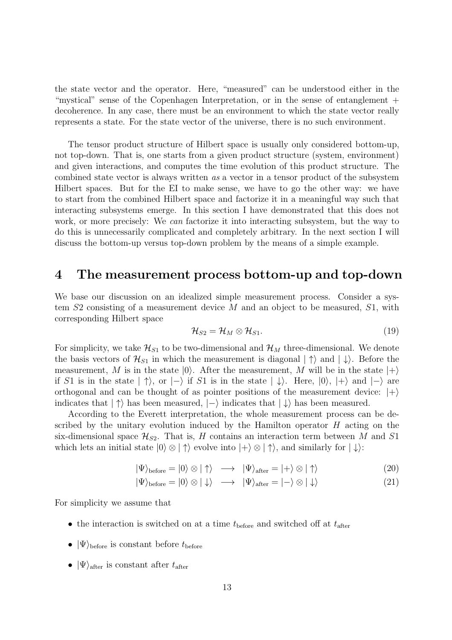the state vector and the operator. Here, "measured" can be understood either in the "mystical" sense of the Copenhagen Interpretation, or in the sense of entanglement + decoherence. In any case, there must be an environment to which the state vector really represents a state. For the state vector of the universe, there is no such environment.

The tensor product structure of Hilbert space is usually only considered bottom-up, not top-down. That is, one starts from a given product structure (system, environment) and given interactions, and computes the time evolution of this product structure. The combined state vector is always written as a vector in a tensor product of the subsystem Hilbert spaces. But for the EI to make sense, we have to go the other way: we have to start from the combined Hilbert space and factorize it in a meaningful way such that interacting subsystems emerge. In this section I have demonstrated that this does not work, or more precisely: We can factorize it into interacting subsystem, but the way to do this is unnecessarily complicated and completely arbitrary. In the next section I will discuss the bottom-up versus top-down problem by the means of a simple example.

### 4 The measurement process bottom-up and top-down

We base our discussion on an idealized simple measurement process. Consider a system  $S2$  consisting of a measurement device M and an object to be measured,  $S1$ , with corresponding Hilbert space

<span id="page-12-0"></span>
$$
\mathcal{H}_{S2} = \mathcal{H}_M \otimes \mathcal{H}_{S1}.\tag{19}
$$

For simplicity, we take  $\mathcal{H}_{S1}$  to be two-dimensional and  $\mathcal{H}_M$  three-dimensional. We denote the basis vectors of  $\mathcal{H}_{S1}$  in which the measurement is diagonal  $|\uparrow\rangle$  and  $|\downarrow\rangle$ . Before the measurement, M is in the state  $|0\rangle$ . After the measurement, M will be in the state  $|+\rangle$ if S1 is in the state  $|\uparrow\rangle$ , or  $|-\rangle$  if S1 is in the state  $|\downarrow\rangle$ . Here,  $|0\rangle$ ,  $|+\rangle$  and  $|-\rangle$  are orthogonal and can be thought of as pointer positions of the measurement device:  $|+\rangle$ indicates that  $|\uparrow\rangle$  has been measured,  $|-\rangle$  indicates that  $|\downarrow\rangle$  has been measured.

According to the Everett interpretation, the whole measurement process can be described by the unitary evolution induced by the Hamilton operator  $H$  acting on the six-dimensional space  $\mathcal{H}_{S2}$ . That is, H contains an interaction term between M and S1 which lets an initial state  $|0\rangle \otimes | \uparrow \rangle$  evolve into  $| + \rangle \otimes | \uparrow \rangle$ , and similarly for  $| \downarrow \rangle$ :

$$
|\Psi\rangle_{\text{before}} = |0\rangle \otimes |\uparrow\rangle \longrightarrow |\Psi\rangle_{\text{after}} = |+\rangle \otimes |\uparrow\rangle \tag{20}
$$

$$
|\Psi\rangle_{\text{before}} = |0\rangle \otimes | \downarrow\rangle \longrightarrow |\Psi\rangle_{\text{after}} = |-\rangle \otimes | \downarrow\rangle \tag{21}
$$

For simplicity we assume that

- the interaction is switched on at a time  $t_{\text{before}}$  and switched off at  $t_{\text{after}}$
- $|\Psi\rangle_{\text{before}}$  is constant before  $t_{\text{before}}$
- $|\Psi\rangle_{\text{after}}$  is constant after  $t_{\text{after}}$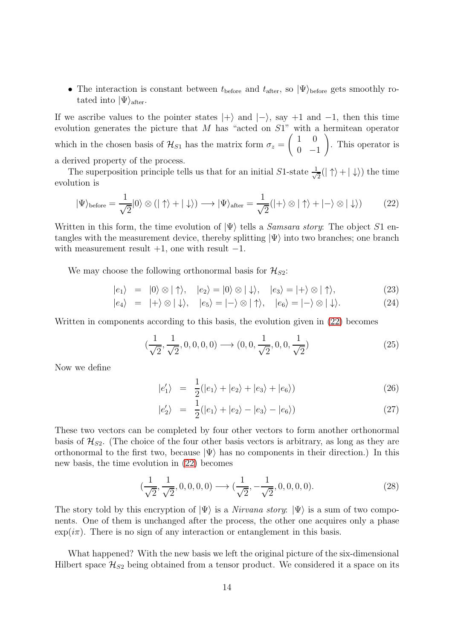• The interaction is constant between  $t_{before}$  and  $t_{after}$ , so  $|\Psi\rangle_{before}$  gets smoothly rotated into  $|\Psi\rangle_{after}$ .

If we ascribe values to the pointer states  $|+\rangle$  and  $|-\rangle$ , say +1 and -1, then this time evolution generates the picture that  $M$  has "acted on  $S1$ " with a hermitean operator which in the chosen basis of  $\mathcal{H}_{S1}$  has the matrix form  $\sigma_z =$  $\begin{pmatrix} 1 & 0 \end{pmatrix}$  $0 -1$  $\setminus$ . This operator is a derived property of the process.

The superposition principle tells us that for an initial S1-state  $\frac{1}{\sqrt{2}}$  $\frac{1}{2}(|\uparrow\rangle + |\downarrow\rangle)$  the time evolution is

<span id="page-13-0"></span>
$$
|\Psi\rangle_{\text{before}} = \frac{1}{\sqrt{2}}|0\rangle \otimes (|\uparrow\rangle + |\downarrow\rangle) \longrightarrow |\Psi\rangle_{\text{after}} = \frac{1}{\sqrt{2}}(|+\rangle \otimes |\uparrow\rangle + |-\rangle \otimes |\downarrow\rangle) \tag{22}
$$

Written in this form, the time evolution of  $|\Psi\rangle$  tells a *Samsara story*: The object S1 entangles with the measurement device, thereby splitting  $|\Psi\rangle$  into two branches; one branch with measurement result  $+1$ , one with result  $-1$ .

We may choose the following orthonormal basis for  $\mathcal{H}_{S2}$ :

<span id="page-13-1"></span>
$$
|e_1\rangle = |0\rangle \otimes |\uparrow\rangle, \quad |e_2\rangle = |0\rangle \otimes |\downarrow\rangle, \quad |e_3\rangle = |+\rangle \otimes |\uparrow\rangle,
$$
 (23)

$$
|e_4\rangle = |+\rangle \otimes |\downarrow\rangle, \quad |e_5\rangle = |-\rangle \otimes |\uparrow\rangle, \quad |e_6\rangle = |-\rangle \otimes |\downarrow\rangle.
$$
 (24)

Written in components according to this basis, the evolution given in [\(22\)](#page-13-0) becomes

$$
(\frac{1}{\sqrt{2}}, \frac{1}{\sqrt{2}}, 0, 0, 0, 0) \longrightarrow (0, 0, \frac{1}{\sqrt{2}}, 0, 0, \frac{1}{\sqrt{2}})
$$
\n(25)

Now we define

$$
|e'_1\rangle = \frac{1}{2}(|e_1\rangle + |e_2\rangle + |e_3\rangle + |e_6\rangle)
$$
 (26)

$$
|e_2'\rangle = \frac{1}{2}(|e_1\rangle + |e_2\rangle - |e_3\rangle - |e_6\rangle) \tag{27}
$$

These two vectors can be completed by four other vectors to form another orthonormal basis of  $\mathcal{H}_{S2}$ . (The choice of the four other basis vectors is arbitrary, as long as they are orthonormal to the first two, because  $|\Psi\rangle$  has no components in their direction.) In this new basis, the time evolution in [\(22\)](#page-13-0) becomes

<span id="page-13-2"></span>
$$
(\frac{1}{\sqrt{2}}, \frac{1}{\sqrt{2}}, 0, 0, 0, 0) \longrightarrow (\frac{1}{\sqrt{2}}, -\frac{1}{\sqrt{2}}, 0, 0, 0, 0).
$$
 (28)

The story told by this encryption of  $|\Psi\rangle$  is a Nirvana story:  $|\Psi\rangle$  is a sum of two components. One of them is unchanged after the process, the other one acquires only a phase  $\exp(i\pi)$ . There is no sign of any interaction or entanglement in this basis.

What happened? With the new basis we left the original picture of the six-dimensional Hilbert space  $\mathcal{H}_{S2}$  being obtained from a tensor product. We considered it a space on its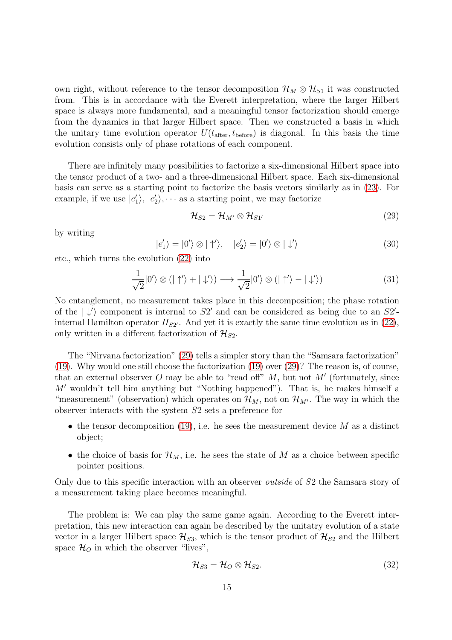own right, without reference to the tensor decomposition  $\mathcal{H}_M \otimes \mathcal{H}_{S1}$  it was constructed from. This is in accordance with the Everett interpretation, where the larger Hilbert space is always more fundamental, and a meaningful tensor factorization should emerge from the dynamics in that larger Hilbert space. Then we constructed a basis in which the unitary time evolution operator  $U(t_{\text{after}}, t_{\text{before}})$  is diagonal. In this basis the time evolution consists only of phase rotations of each component.

There are infinitely many possibilities to factorize a six-dimensional Hilbert space into the tensor product of a two- and a three-dimensional Hilbert space. Each six-dimensional basis can serve as a starting point to factorize the basis vectors similarly as in [\(23\)](#page-13-1). For example, if we use  $|e'_1\rangle, |e'_2\rangle, \cdots$  as a starting point, we may factorize

<span id="page-14-0"></span>
$$
\mathcal{H}_{S2} = \mathcal{H}_{M'} \otimes \mathcal{H}_{S1'} \tag{29}
$$

by writing

$$
|e'_1\rangle = |0'\rangle \otimes |\uparrow'\rangle, \quad |e'_2\rangle = |0'\rangle \otimes |\downarrow'\rangle \tag{30}
$$

etc., which turns the evolution [\(22\)](#page-13-0) into

$$
\frac{1}{\sqrt{2}}|0'\rangle \otimes (|\uparrow'\rangle + |\downarrow'\rangle) \longrightarrow \frac{1}{\sqrt{2}}|0'\rangle \otimes (|\uparrow'\rangle - |\downarrow'\rangle)
$$
 (31)

No entanglement, no measurement takes place in this decomposition; the phase rotation of the  $|\downarrow\rangle$  component is internal to S2' and can be considered as being due to an S2'internal Hamilton operator  $H_{S2'}$ . And yet it is exactly the same time evolution as in [\(22\)](#page-13-0), only written in a different factorization of  $\mathcal{H}_{S2}$ .

The "Nirvana factorization" [\(29\)](#page-14-0) tells a simpler story than the "Samsara factorization" [\(19\)](#page-12-0). Why would one still choose the factorization [\(19\)](#page-12-0) over [\(29\)](#page-14-0)? The reason is, of course, that an external observer O may be able to "read off"  $M$ , but not  $M'$  (fortunately, since M′ wouldn't tell him anything but "Nothing happened"). That is, he makes himself a "measurement" (observation) which operates on  $\mathcal{H}_M$ , not on  $\mathcal{H}_{M'}$ . The way in which the observer interacts with the system S2 sets a preference for

- the tensor decomposition  $(19)$ , i.e. he sees the measurement device M as a distinct object;
- the choice of basis for  $\mathcal{H}_M$ , i.e. he sees the state of M as a choice between specific pointer positions.

Only due to this specific interaction with an observer outside of S2 the Samsara story of a measurement taking place becomes meaningful.

The problem is: We can play the same game again. According to the Everett interpretation, this new interaction can again be described by the unitatry evolution of a state vector in a larger Hilbert space  $\mathcal{H}_{S3}$ , which is the tensor product of  $\mathcal{H}_{S2}$  and the Hilbert space  $\mathcal{H}_O$  in which the observer "lives",

$$
\mathcal{H}_{S3} = \mathcal{H}_O \otimes \mathcal{H}_{S2}.\tag{32}
$$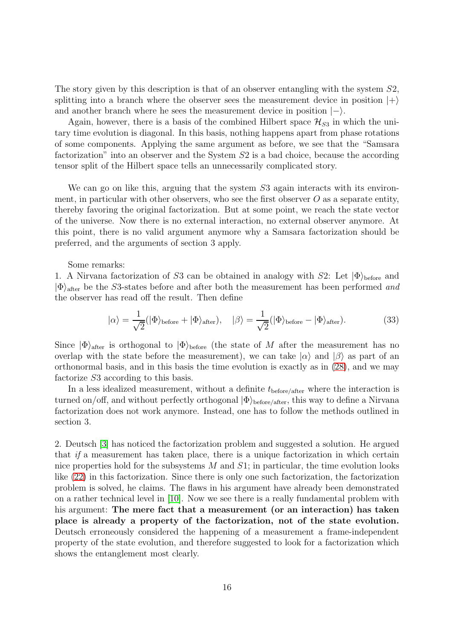The story given by this description is that of an observer entangling with the system  $S2$ , splitting into a branch where the observer sees the measurement device in position  $|+\rangle$ and another branch where he sees the measurement device in position  $|-\rangle$ .

Again, however, there is a basis of the combined Hilbert space  $\mathcal{H}_{S3}$  in which the unitary time evolution is diagonal. In this basis, nothing happens apart from phase rotations of some components. Applying the same argument as before, we see that the "Samsara factorization" into an observer and the System S2 is a bad choice, because the according tensor split of the Hilbert space tells an unnecessarily complicated story.

We can go on like this, arguing that the system S3 again interacts with its environment, in particular with other observers, who see the first observer  $O$  as a separate entity, thereby favoring the original factorization. But at some point, we reach the state vector of the universe. Now there is no external interaction, no external observer anymore. At this point, there is no valid argument anymore why a Samsara factorization should be preferred, and the arguments of section 3 apply.

### Some remarks:

1. A Nirvana factorization of S3 can be obtained in analogy with S2: Let  $|\Phi\rangle_{\text{before}}$  and  $|\Phi\rangle$ <sub>after</sub> be the S3-states before and after both the measurement has been performed and the observer has read off the result. Then define

$$
|\alpha\rangle = \frac{1}{\sqrt{2}} (|\Phi\rangle_{\text{before}} + |\Phi\rangle_{\text{after}}), \quad |\beta\rangle = \frac{1}{\sqrt{2}} (|\Phi\rangle_{\text{before}} - |\Phi\rangle_{\text{after}}). \tag{33}
$$

Since  $|\Phi\rangle_{\text{after}}$  is orthogonal to  $|\Phi\rangle_{\text{before}}$  (the state of M after the measurement has no overlap with the state before the measurement), we can take  $|\alpha\rangle$  and  $|\beta\rangle$  as part of an orthonormal basis, and in this basis the time evolution is exactly as in [\(28\)](#page-13-2), and we may factorize S3 according to this basis.

In a less idealized measurement, without a definite  $t_{before/after}$  where the interaction is turned on/off, and without perfectly orthogonal  $|\Phi\rangle_{before/after}$ , this way to define a Nirvana factorization does not work anymore. Instead, one has to follow the methods outlined in section 3.

2. Deutsch [\[3\]](#page-21-2) has noticed the factorization problem and suggested a solution. He argued that if a measurement has taken place, there is a unique factorization in which certain nice properties hold for the subsystems  $M$  and  $S1$ ; in particular, the time evolution looks like [\(22\)](#page-13-0) in this factorization. Since there is only one such factorization, the factorization problem is solved, he claims. The flaws in his argument have already been demonstrated on a rather technical level in [\[10\]](#page-21-9). Now we see there is a really fundamental problem with his argument: The mere fact that a measurement (or an interaction) has taken place is already a property of the factorization, not of the state evolution. Deutsch erroneously considered the happening of a measurement a frame-independent property of the state evolution, and therefore suggested to look for a factorization which shows the entanglement most clearly.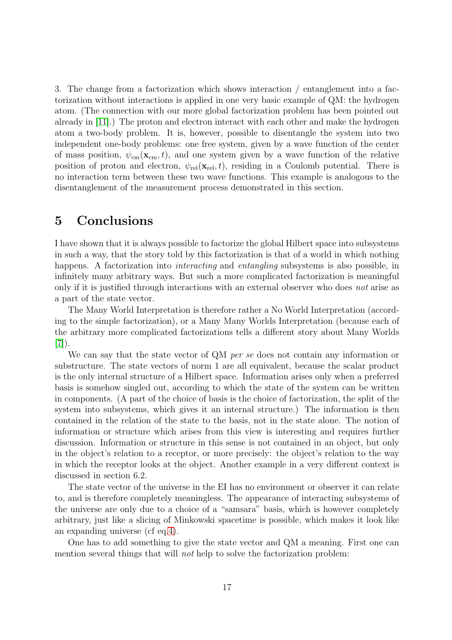3. The change from a factorization which shows interaction / entanglement into a factorization without interactions is applied in one very basic example of QM: the hydrogen atom. (The connection with our more global factorization problem has been pointed out already in [\[11\]](#page-22-0).) The proton and electron interact with each other and make the hydrogen atom a two-body problem. It is, however, possible to disentangle the system into two independent one-body problems: one free system, given by a wave function of the center of mass position,  $\psi_{\rm cm}({\bf x}_{\rm cm}, t)$ , and one system given by a wave function of the relative position of proton and electron,  $\psi_{rel}(\mathbf{x}_{rel}, t)$ , residing in a Coulomb potential. There is no interaction term between these two wave functions. This example is analogous to the disentanglement of the measurement process demonstrated in this section.

## 5 Conclusions

I have shown that it is always possible to factorize the global Hilbert space into subsystems in such a way, that the story told by this factorization is that of a world in which nothing happens. A factorization into *interacting* and *entangling* subsystems is also possible, in infinitely many arbitrary ways. But such a more complicated factorization is meaningful only if it is justified through interactions with an external observer who does not arise as a part of the state vector.

The Many World Interpretation is therefore rather a No World Interpretation (according to the simple factorization), or a Many Many Worlds Interpretation (because each of the arbitrary more complicated factorizations tells a different story about Many Worlds [\[7\]](#page-21-6)).

We can say that the state vector of QM per se does not contain any information or substructure. The state vectors of norm 1 are all equivalent, because the scalar product is the only internal structure of a Hilbert space. Information arises only when a preferred basis is somehow singled out, according to which the state of the system can be written in components. (A part of the choice of basis is the choice of factorization, the split of the system into subsystems, which gives it an internal structure.) The information is then contained in the relation of the state to the basis, not in the state alone. The notion of information or structure which arises from this view is interesting and requires further discussion. Information or structure in this sense is not contained in an object, but only in the object's relation to a receptor, or more precisely: the object's relation to the way in which the receptor looks at the object. Another example in a very different context is discussed in section 6.2.

The state vector of the universe in the EI has no environment or observer it can relate to, and is therefore completely meaningless. The appearance of interacting subsystems of the universe are only due to a choice of a "samsara" basis, which is however completely arbitrary, just like a slicing of Minkowski spacetime is possible, which makes it look like an expanding universe (cf eq[.4\)](#page-3-1).

One has to add something to give the state vector and QM a meaning. First one can mention several things that will not help to solve the factorization problem: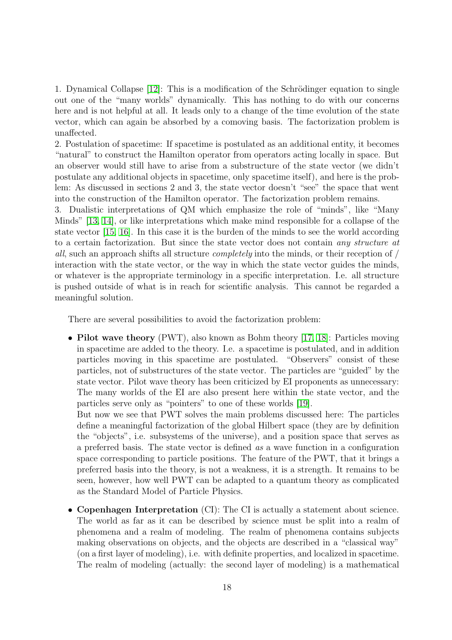1. Dynamical Collapse [\[12\]](#page-22-1): This is a modification of the Schrödinger equation to single out one of the "many worlds" dynamically. This has nothing to do with our concerns here and is not helpful at all. It leads only to a change of the time evolution of the state vector, which can again be absorbed by a comoving basis. The factorization problem is unaffected.

2. Postulation of spacetime: If spacetime is postulated as an additional entity, it becomes "natural" to construct the Hamilton operator from operators acting locally in space. But an observer would still have to arise from a substructure of the state vector (we didn't postulate any additional objects in spacetime, only spacetime itself), and here is the problem: As discussed in sections 2 and 3, the state vector doesn't "see" the space that went into the construction of the Hamilton operator. The factorization problem remains.

3. Dualistic interpretations of QM which emphasize the role of "minds", like "Many Minds" [\[13,](#page-22-2) [14\]](#page-22-3), or like interpretations which make mind responsible for a collapse of the state vector [\[15,](#page-22-4) [16\]](#page-22-5). In this case it is the burden of the minds to see the world according to a certain factorization. But since the state vector does not contain any structure at all, such an approach shifts all structure *completely* into the minds, or their reception of  $/$ interaction with the state vector, or the way in which the state vector guides the minds, or whatever is the appropriate terminology in a specific interpretation. I.e. all structure is pushed outside of what is in reach for scientific analysis. This cannot be regarded a meaningful solution.

There are several possibilities to avoid the factorization problem:

• Pilot wave theory (PWT), also known as Bohm theory [\[17,](#page-22-6) [18\]](#page-22-7): Particles moving in spacetime are added to the theory. I.e. a spacetime is postulated, and in addition particles moving in this spacetime are postulated. "Observers" consist of these particles, not of substructures of the state vector. The particles are "guided" by the state vector. Pilot wave theory has been criticized by EI proponents as unnecessary: The many worlds of the EI are also present here within the state vector, and the particles serve only as "pointers" to one of these worlds [\[19\]](#page-22-8).

But now we see that PWT solves the main problems discussed here: The particles define a meaningful factorization of the global Hilbert space (they are by definition the "objects", i.e. subsystems of the universe), and a position space that serves as a preferred basis. The state vector is defined as a wave function in a configuration space corresponding to particle positions. The feature of the PWT, that it brings a preferred basis into the theory, is not a weakness, it is a strength. It remains to be seen, however, how well PWT can be adapted to a quantum theory as complicated as the Standard Model of Particle Physics.

• Copenhagen Interpretation (CI): The CI is actually a statement about science. The world as far as it can be described by science must be split into a realm of phenomena and a realm of modeling. The realm of phenomena contains subjects making observations on objects, and the objects are described in a "classical way" (on a first layer of modeling), i.e. with definite properties, and localized in spacetime. The realm of modeling (actually: the second layer of modeling) is a mathematical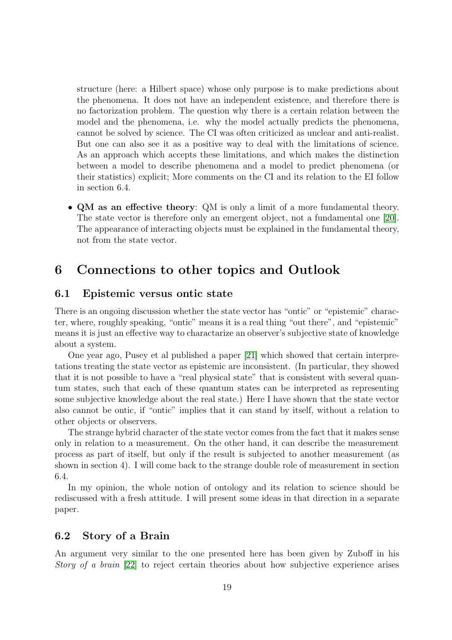structure (here: a Hilbert space) whose only purpose is to make predictions about the phenomena. It does not have an independent existence, and therefore there is no factorization problem. The question why there is a certain relation between the model and the phenomena, i.e. why the model actually predicts the phenomena, cannot be solved by science. The CI was often criticized as unclear and anti-realist. But one can also see it as a positive way to deal with the limitations of science. As an approach which accepts these limitations, and which makes the distinction between a model to describe phenomena and a model to predict phenomena (or their statistics) explicit; More comments on the CI and its relation to the EI follow in section 6.4.

• QM as an effective theory: QM is only a limit of a more fundamental theory. The state vector is therefore only an emergent object, not a fundamental one [\[20\]](#page-22-9). The appearance of interacting objects must be explained in the fundamental theory, not from the state vector.

## 6 Connections to other topics and Outlook

### 6.1 Epistemic versus ontic state

There is an ongoing discussion whether the state vector has "ontic" or "epistemic" character, where, roughly speaking, "ontic" means it is a real thing "out there", and "epistemic" means it is just an effective way to charactarize an observer's subjective state of knowledge about a system.

One year ago, Pusey et al published a paper [\[21\]](#page-22-10) which showed that certain interpretations treating the state vector as epistemic are inconsistent. (In particular, they showed that it is not possible to have a "real physical state" that is consistent with several quantum states, such that each of these quantum states can be interpreted as representing some subjective knowledge about the real state.) Here I have shown that the state vector also cannot be ontic, if "ontic" implies that it can stand by itself, without a relation to other objects or observers.

The strange hybrid character of the state vector comes from the fact that it makes sense only in relation to a measurement. On the other hand, it can describe the measurement process as part of itself, but only if the result is subjected to another measurement (as shown in section 4). I will come back to the strange double role of measurement in section 6.4.

In my opinion, the whole notion of ontology and its relation to science should be rediscussed with a fresh attitude. I will present some ideas in that direction in a separate paper.

### 6.2 Story of a Brain

An argument very similar to the one presented here has been given by Zuboff in his Story of a brain [\[22\]](#page-22-11) to reject certain theories about how subjective experience arises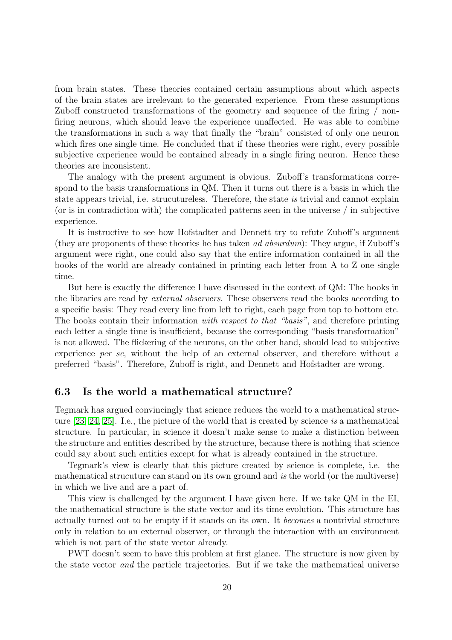from brain states. These theories contained certain assumptions about which aspects of the brain states are irrelevant to the generated experience. From these assumptions Zuboff constructed transformations of the geometry and sequence of the firing / nonfiring neurons, which should leave the experience unaffected. He was able to combine the transformations in such a way that finally the "brain" consisted of only one neuron which fires one single time. He concluded that if these theories were right, every possible subjective experience would be contained already in a single firing neuron. Hence these theories are inconsistent.

The analogy with the present argument is obvious. Zuboff's transformations correspond to the basis transformations in QM. Then it turns out there is a basis in which the state appears trivial, i.e. strucutureless. Therefore, the state is trivial and cannot explain (or is in contradiction with) the complicated patterns seen in the universe / in subjective experience.

It is instructive to see how Hofstadter and Dennett try to refute Zuboff's argument (they are proponents of these theories he has taken ad absurdum): They argue, if Zuboff's argument were right, one could also say that the entire information contained in all the books of the world are already contained in printing each letter from A to Z one single time.

But here is exactly the difference I have discussed in the context of QM: The books in the libraries are read by external observers. These observers read the books according to a specific basis: They read every line from left to right, each page from top to bottom etc. The books contain their information with respect to that "basis", and therefore printing each letter a single time is insufficient, because the corresponding "basis transformation" is not allowed. The flickering of the neurons, on the other hand, should lead to subjective experience per se, without the help of an external observer, and therefore without a preferred "basis". Therefore, Zuboff is right, and Dennett and Hofstadter are wrong.

### 6.3 Is the world a mathematical structure?

Tegmark has argued convincingly that science reduces the world to a mathematical structure [\[23,](#page-22-12) [24,](#page-22-13) [25\]](#page-22-14). I.e., the picture of the world that is created by science is a mathematical structure. In particular, in science it doesn't make sense to make a distinction between the structure and entities described by the structure, because there is nothing that science could say about such entities except for what is already contained in the structure.

Tegmark's view is clearly that this picture created by science is complete, i.e. the mathematical strucuture can stand on its own ground and is the world (or the multiverse) in which we live and are a part of.

This view is challenged by the argument I have given here. If we take QM in the EI, the mathematical structure is the state vector and its time evolution. This structure has actually turned out to be empty if it stands on its own. It becomes a nontrivial structure only in relation to an external observer, or through the interaction with an environment which is not part of the state vector already.

PWT doesn't seem to have this problem at first glance. The structure is now given by the state vector and the particle trajectories. But if we take the mathematical universe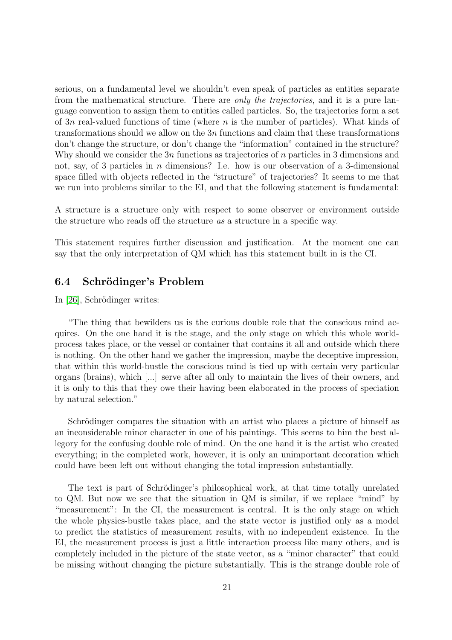serious, on a fundamental level we shouldn't even speak of particles as entities separate from the mathematical structure. There are *only the trajectories*, and it is a pure language convention to assign them to entities called particles. So, the trajectories form a set of 3n real-valued functions of time (where  $n$  is the number of particles). What kinds of transformations should we allow on the  $3n$  functions and claim that these transformations don't change the structure, or don't change the "information" contained in the structure? Why should we consider the  $3n$  functions as trajectories of n particles in 3 dimensions and not, say, of 3 particles in  $n$  dimensions? I.e. how is our observation of a 3-dimensional space filled with objects reflected in the "structure" of trajectories? It seems to me that we run into problems similar to the EI, and that the following statement is fundamental:

A structure is a structure only with respect to some observer or environment outside the structure who reads off the structure as a structure in a specific way.

This statement requires further discussion and justification. At the moment one can say that the only interpretation of QM which has this statement built in is the CI.

### 6.4 Schrödinger's Problem

In [\[26\]](#page-22-15), Schrödinger writes:

"The thing that bewilders us is the curious double role that the conscious mind acquires. On the one hand it is the stage, and the only stage on which this whole worldprocess takes place, or the vessel or container that contains it all and outside which there is nothing. On the other hand we gather the impression, maybe the deceptive impression, that within this world-bustle the conscious mind is tied up with certain very particular organs (brains), which [...] serve after all only to maintain the lives of their owners, and it is only to this that they owe their having been elaborated in the process of speciation by natural selection."

Schrödinger compares the situation with an artist who places a picture of himself as an inconsiderable minor character in one of his paintings. This seems to him the best allegory for the confusing double role of mind. On the one hand it is the artist who created everything; in the completed work, however, it is only an unimportant decoration which could have been left out without changing the total impression substantially.

The text is part of Schrödinger's philosophical work, at that time totally unrelated to QM. But now we see that the situation in QM is similar, if we replace "mind" by "measurement": In the CI, the measurement is central. It is the only stage on which the whole physics-bustle takes place, and the state vector is justified only as a model to predict the statistics of measurement results, with no independent existence. In the EI, the measurement process is just a little interaction process like many others, and is completely included in the picture of the state vector, as a "minor character" that could be missing without changing the picture substantially. This is the strange double role of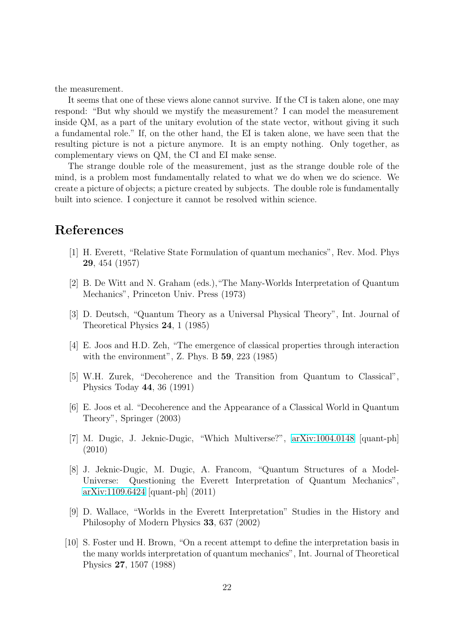the measurement.

It seems that one of these views alone cannot survive. If the CI is taken alone, one may respond: "But why should we mystify the measurement? I can model the measurement inside QM, as a part of the unitary evolution of the state vector, without giving it such a fundamental role." If, on the other hand, the EI is taken alone, we have seen that the resulting picture is not a picture anymore. It is an empty nothing. Only together, as complementary views on QM, the CI and EI make sense.

The strange double role of the measurement, just as the strange double role of the mind, is a problem most fundamentally related to what we do when we do science. We create a picture of objects; a picture created by subjects. The double role is fundamentally built into science. I conjecture it cannot be resolved within science.

# <span id="page-21-0"></span>References

- [1] H. Everett, "Relative State Formulation of quantum mechanics", Rev. Mod. Phys 29, 454 (1957)
- <span id="page-21-1"></span>[2] B. De Witt and N. Graham (eds.),"The Many-Worlds Interpretation of Quantum Mechanics", Princeton Univ. Press (1973)
- <span id="page-21-2"></span>[3] D. Deutsch, "Quantum Theory as a Universal Physical Theory", Int. Journal of Theoretical Physics 24, 1 (1985)
- <span id="page-21-4"></span><span id="page-21-3"></span>[4] E. Joos and H.D. Zeh, "The emergence of classical properties through interaction with the environment", Z. Phys. B 59, 223 (1985)
- [5] W.H. Zurek, "Decoherence and the Transition from Quantum to Classical", Physics Today 44, 36 (1991)
- <span id="page-21-5"></span>[6] E. Joos et al. "Decoherence and the Appearance of a Classical World in Quantum Theory", Springer (2003)
- <span id="page-21-6"></span>[7] M. Dugic, J. Jeknic-Dugic, "Which Multiverse?", [arXiv:1004.0148](http://arxiv.org/abs/1004.0148) [quant-ph] (2010)
- <span id="page-21-7"></span>[8] J. Jeknic-Dugic, M. Dugic, A. Francom, "Quantum Structures of a Model-Universe: Questioning the Everett Interpretation of Quantum Mechanics", [arXiv:1109.6424](http://arxiv.org/abs/1109.6424) [quant-ph] (2011)
- <span id="page-21-8"></span>[9] D. Wallace, "Worlds in the Everett Interpretation" Studies in the History and Philosophy of Modern Physics 33, 637 (2002)
- <span id="page-21-9"></span>[10] S. Foster und H. Brown, "On a recent attempt to define the interpretation basis in the many worlds interpretation of quantum mechanics", Int. Journal of Theoretical Physics 27, 1507 (1988)